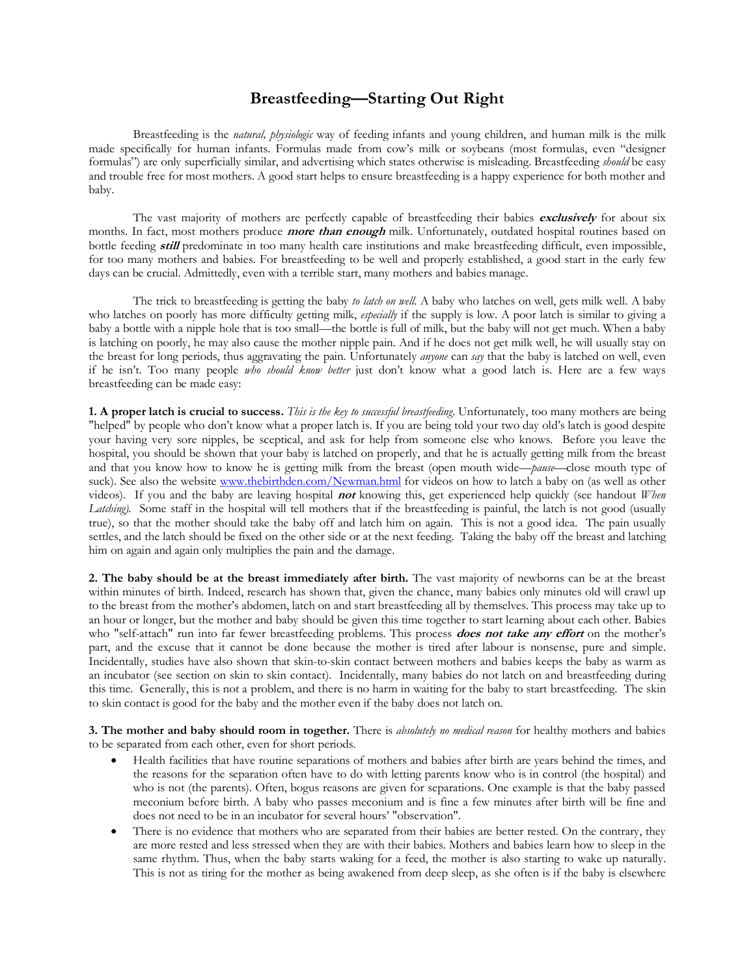## **Breastfeeding—Starting Out Right**

Breastfeeding is the *natural, physiologic* way of feeding infants and young children, and human milk is the milk made specifically for human infants. Formulas made from cow's milk or soybeans (most formulas, even "designer formulas") are only superficially similar, and advertising which states otherwise is misleading. Breastfeeding *should* be easy and trouble free for most mothers. A good start helps to ensure breastfeeding is a happy experience for both mother and baby.

The vast majority of mothers are perfectly capable of breastfeeding their babies **exclusively** for about six months. In fact, most mothers produce **more than enough** milk. Unfortunately, outdated hospital routines based on bottle feeding **still** predominate in too many health care institutions and make breastfeeding difficult, even impossible, for too many mothers and babies. For breastfeeding to be well and properly established, a good start in the early few days can be crucial. Admittedly, even with <sup>a</sup> terrible start, many mothers and babies manage.

The trick to breastfeeding is getting the baby *to latch on well*. A baby who latches on well, gets milk well. A baby who latches on poorly has more difficulty getting milk, *especially* if the supply is low. A poor latch is similar to giving a baby a bottle with a nipple hole that is too small—the bottle is full of milk, but the baby wil is latching on poorly, he may also cause the mother nipple pain. And if he does not get milk well, he will usually stay on the breast for long periods, thus aggravating the pain. Unfortunately *anyone* can *say* that the baby is latched on well, even if he isn't. Too many people *who should know better* just don't know what a good latch is. Here are a few ways breastfeeding can be made easy:

**1. A proper latch is crucial to success.** *This is the key to successful breastfeeding*. Unfortunately, too many mothers are being "helped" by people who don't know what a proper latch is. If you are being told your two day old's latch is good despite your having very sore nipples, be sceptical, and ask for help from someone else who knows. Before you leave the hospital, you should be shown that your baby is latched on properly, and that he is actually getting milk from and that you know how to know he is getting milk from the breast (open mouth wide-*pause*-close mouth type of suck). See also the website www.thebirthden.com/Newman.html for videos on how to latch a baby on (as well as oth videos). If you and the baby are leaving hospital **not** knowing this, get experienced help quickly (see handout *When Latching*). Some staff in the hospital will tell mothers that if the breastfeeding is painful, the lat true), so that the mother should take the baby off and latch him on again. This is not a good idea. The pain usually settles, and the latch should be fixed on the other side or at the next feeding. Taking the baby off the breast and latching him on again and again only multiplies the pain and the damage.

**2. The baby should be at the breast immediately after birth.** The vast majority of newborns can be at the breast within minutes of birth. Indeed, research has shown that, given the chance, many babies only minutes old will crawl up to the breast from the mother's abdomen, latch on and start breastfeeding all by themselves. This process may take up to an hour or longer, but the mother and baby should be given this time together to start learning about each other. Babies who "self-attach" run into far fewer breastfeeding problems. This process **does not take any effort** on the mother's part, and the excuse that it cannot be done because the mother is tired after labour is nonsense, pure and simple. Incidentally, studies have also shown that skin-to-skin contact between mothers and babies keeps the baby as warm as an incubator (see section on skin to skin contact). Incidentally, many babies do not latch on and breastfeeding during this time. Generally, this is not a problem, and there is no harm in waiting for the baby to start breastfeeding. The skin to skin contact is good for the baby and the mother even if the baby does not latch on.

**3. The mother and baby should room in together.** There is *absolutely no medical reason* for healthy mothers and babies to be separated from each other, even for short periods.

- · Health facilities that have routine separations of mothers and babies after birth are years behind the times, and the reasons for the separation often have to do with letting parents know who is in control (the hospital) and who is not (the parents). Often, bogus reasons are given for separations. One example is that the baby passed meconium before birth. A baby who passes meconium and is fine a few minutes after birth will be fine and does not need to be in an incubator for several hours' "observation".
- There is no evidence that mothers who are separated from their babies are better rested. On the contrary, they are more rested and less stressed when they are with their babies. Mothers and babies learn how to sleep in the same rhythm. Thus, when the baby starts waking for a feed, the mother is also starting to wake up naturally. This is not as tiring for the mother as being awakened from deep sleep, as she often is if the baby is elsewhere